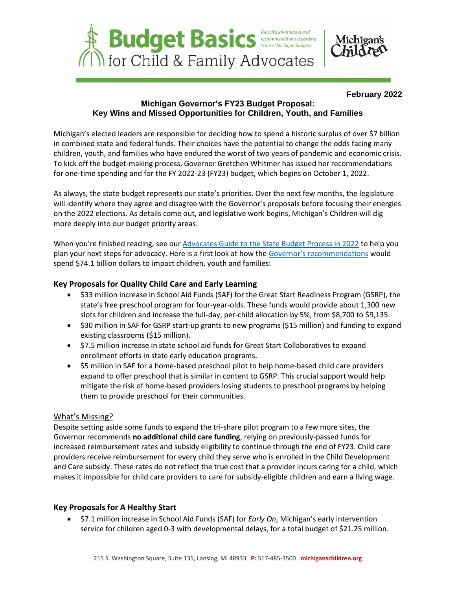

#### **February 2022**

# **Michigan Governor's FY23 Budget Proposal: Key Wins and Missed Opportunities for Children, Youth, and Families**

Michigan's elected leaders are responsible for deciding how to spend a historic surplus of over \$7 billion in combined state and federal funds. Their choices have the potential to change the odds facing many children, youth, and families who have endured the worst of two years of pandemic and economic crisis. To kick off the budget-making process, Governor Gretchen Whitmer has issued her recommendations for one-time spending and for the FY 2022-23 (FY23) budget, which begins on October 1, 2022.

As always, the state budget represents our state's priorities. Over the next few months, the legislature will identify where they agree and disagree with the Governor's proposals before focusing their energies on the 2022 elections. As details come out, and legislative work begins, Michigan's Children will dig more deeply into our budget priority areas.

When you're finished reading, see our [Advocates Guide to the State Budget Process in 2022](https://www.michiganschildren.org/download/24113/) to help you plan your next steps for advocacy. Here is a first look at how the [Governor's recommendations](https://www.michigan.gov/budget/fiscal-pages/budget) would spend \$74.1 billion dollars to impact children, youth and families:

# **Key Proposals for Quality Child Care and Early Learning**

- \$33 million increase in School Aid Funds (SAF) for the Great Start Readiness Program (GSRP), the state's free preschool program for four-year-olds. These funds would provide about 1,300 new slots for children and increase the full-day, per-child allocation by 5%, from \$8,700 to \$9,135.
- \$30 million in SAF for GSRP start-up grants to new programs (\$15 million) and funding to expand existing classrooms (\$15 million).
- \$7.5 million increase in state school aid funds for Great Start Collaboratives to expand enrollment efforts in state early education programs.
- \$5 million in SAF for a home-based preschool pilot to help home-based child care providers expand to offer preschool that is similar in content to GSRP. This crucial support would help mitigate the risk of home-based providers losing students to preschool programs by helping them to provide preschool for their communities.

## What's Missing?

Despite setting aside some funds to expand the tri-share pilot program to a few more sites, the Governor recommends **no additional child care funding**, relying on previously-passed funds for increased reimbursement rates and subsidy eligibility to continue through the end of FY23. Child care providers receive reimbursement for every child they serve who is enrolled in the Child Development and Care subsidy. These rates do not reflect the true cost that a provider incurs caring for a child, which makes it impossible for child care providers to care for subsidy-eligible children and earn a living wage.

## **Key Proposals for A Healthy Start**

• \$7.1 million increase in School Aid Funds (SAF) for *Early On*, Michigan's early intervention service for children aged 0-3 with developmental delays, for a total budget of \$21.25 million.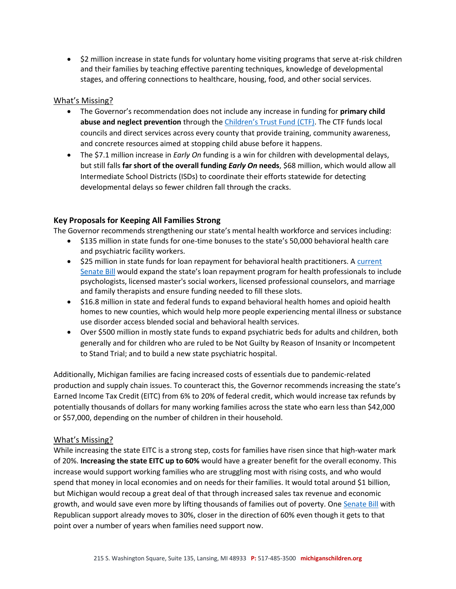• \$2 million increase in state funds for voluntary home visiting programs that serve at-risk children and their families by teaching effective parenting techniques, knowledge of developmental stages, and offering connections to healthcare, housing, food, and other social services.

## What's Missing?

- The Governor's recommendation does not include any increase in funding for **primary child abuse and neglect prevention** through the [Children's Trust Fund](https://www.michigan.gov/ctf) (CTF). The CTF funds local councils and direct services across every county that provide training, community awareness, and concrete resources aimed at stopping child abuse before it happens.
- The \$7.1 million increase in *Early On* funding is a win for children with developmental delays, but still falls **far short of the overall funding** *Early On* **needs**, \$68 million, which would allow all Intermediate School Districts (ISDs) to coordinate their efforts statewide for detecting developmental delays so fewer children fall through the cracks.

#### **Key Proposals for Keeping All Families Strong**

The Governor recommends strengthening our state's mental health workforce and services including:

- \$135 million in state funds for one-time bonuses to the state's 50,000 behavioral health care and psychiatric facility workers.
- \$25 million in state funds for loan repayment for behavioral health practitioners. A current [Senate Bill](http://legislature.mi.gov/doc.aspx?2021-SB-0246) would expand the state's loan repayment program for health professionals to include psychologists, licensed master's social workers, licensed professional counselors, and marriage and family therapists and ensure funding needed to fill these slots.
- \$16.8 million in state and federal funds to expand behavioral health homes and opioid health homes to new counties, which would help more people experiencing mental illness or substance use disorder access blended social and behavioral health services.
- Over \$500 million in mostly state funds to expand psychiatric beds for adults and children, both generally and for children who are ruled to be Not Guilty by Reason of Insanity or Incompetent to Stand Trial; and to build a new state psychiatric hospital.

Additionally, Michigan families are facing increased costs of essentials due to pandemic-related production and supply chain issues. To counteract this, the Governor recommends increasing the state's Earned Income Tax Credit (EITC) from 6% to 20% of federal credit, which would increase tax refunds by potentially thousands of dollars for many working families across the state who earn less than \$42,000 or \$57,000, depending on the number of children in their household.

#### What's Missing?

While increasing the state EITC is a strong step, costs for families have risen since that high-water mark of 20%. **Increasing the state EITC up to 60%** would have a greater benefit for the overall economy. This increase would support working families who are struggling most with rising costs, and who would spend that money in local economies and on needs for their families. It would total around \$1 billion, but Michigan would recoup a great deal of that through increased sales tax revenue and economic growth, and would save even more by lifting thousands of families out of poverty. One [Senate Bill](http://legislature.mi.gov/doc.aspx?2021-SB-0417) with Republican support already moves to 30%, closer in the direction of 60% even though it gets to that point over a number of years when families need support now.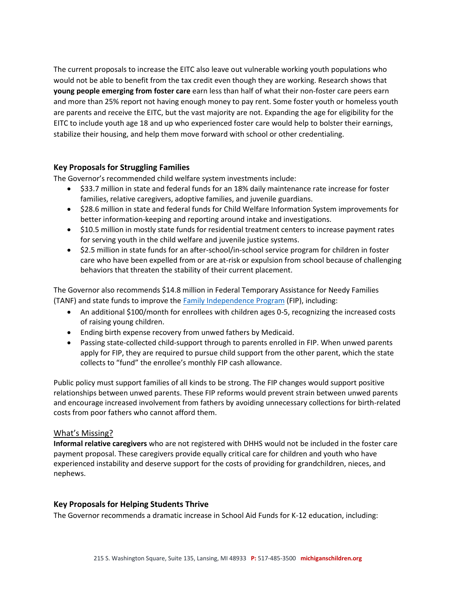The current proposals to increase the EITC also leave out vulnerable working youth populations who would not be able to benefit from the tax credit even though they are working. Research shows that **young people emerging from foster care** earn less than half of what their non-foster care peers earn and more than 25% report not having enough money to pay rent. Some foster youth or homeless youth are parents and receive the EITC, but the vast majority are not. Expanding the age for eligibility for the EITC to include youth age 18 and up who experienced foster care would help to bolster their earnings, stabilize their housing, and help them move forward with school or other credentialing.

## **Key Proposals for Struggling Families**

The Governor's recommended child welfare system investments include:

- \$33.7 million in state and federal funds for an 18% daily maintenance rate increase for foster families, relative caregivers, adoptive families, and juvenile guardians.
- \$28.6 million in state and federal funds for Child Welfare Information System improvements for better information-keeping and reporting around intake and investigations.
- \$10.5 million in mostly state funds for residential treatment centers to increase payment rates for serving youth in the child welfare and juvenile justice systems.
- \$2.5 million in state funds for an after-school/in-school service program for children in foster care who have been expelled from or are at-risk or expulsion from school because of challenging behaviors that threaten the stability of their current placement.

The Governor also recommends \$14.8 million in Federal Temporary Assistance for Needy Families (TANF) and state funds to improve the [Family Independence Program](https://www.benefits.gov/benefit/1220) (FIP), including:

- An additional \$100/month for enrollees with children ages 0-5, recognizing the increased costs of raising young children.
- Ending birth expense recovery from unwed fathers by Medicaid.
- Passing state-collected child‐support through to parents enrolled in FIP. When unwed parents apply for FIP, they are required to pursue child support from the other parent, which the state collects to "fund" the enrollee's monthly FIP cash allowance.

Public policy must support families of all kinds to be strong. The FIP changes would support positive relationships between unwed parents. These FIP reforms would prevent strain between unwed parents and encourage increased involvement from fathers by avoiding unnecessary collections for birth-related costs from poor fathers who cannot afford them.

#### What's Missing?

**Informal relative caregivers** who are not registered with DHHS would not be included in the foster care payment proposal. These caregivers provide equally critical care for children and youth who have experienced instability and deserve support for the costs of providing for grandchildren, nieces, and nephews.

#### **Key Proposals for Helping Students Thrive**

The Governor recommends a dramatic increase in School Aid Funds for K-12 education, including: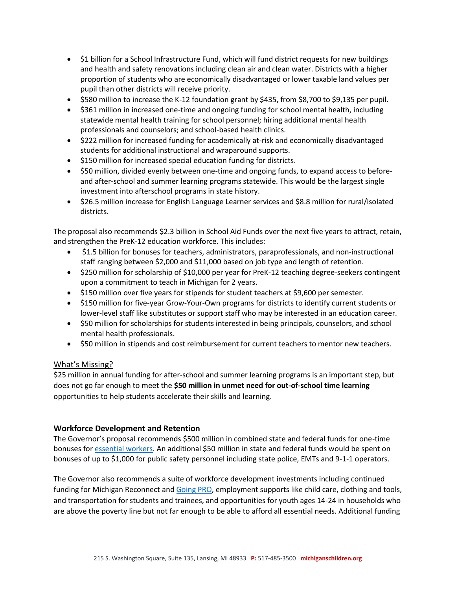- \$1 billion for a School Infrastructure Fund, which will fund district requests for new buildings and health and safety renovations including clean air and clean water. Districts with a higher proportion of students who are economically disadvantaged or lower taxable land values per pupil than other districts will receive priority.
- \$580 million to increase the K-12 foundation grant by \$435, from \$8,700 to \$9,135 per pupil.
- \$361 million in increased one-time and ongoing funding for school mental health, including statewide mental health training for school personnel; hiring additional mental health professionals and counselors; and school-based health clinics.
- \$222 million for increased funding for academically at-risk and economically disadvantaged students for additional instructional and wraparound supports.
- \$150 million for increased special education funding for districts.
- \$50 million, divided evenly between one-time and ongoing funds, to expand access to beforeand after-school and summer learning programs statewide. This would be the largest single investment into afterschool programs in state history.
- \$26.5 million increase for English Language Learner services and \$8.8 million for rural/isolated districts.

The proposal also recommends \$2.3 billion in School Aid Funds over the next five years to attract, retain, and strengthen the PreK-12 education workforce. This includes:

- \$1.5 billion for bonuses for teachers, administrators, paraprofessionals, and non‐instructional staff ranging between \$2,000 and \$11,000 based on job type and length of retention.
- \$250 million for scholarship of \$10,000 per year for PreK-12 teaching degree-seekers contingent upon a commitment to teach in Michigan for 2 years.
- \$150 million over five years for stipends for student teachers at \$9,600 per semester.
- \$150 million for five-year Grow-Your-Own programs for districts to identify current students or lower-level staff like substitutes or support staff who may be interested in an education career.
- \$50 million for scholarships for students interested in being principals, counselors, and school mental health professionals.
- \$50 million in stipends and cost reimbursement for current teachers to mentor new teachers.

## What's Missing?

\$25 million in annual funding for after-school and summer learning programs is an important step, but does not go far enough to meet the **\$50 million in unmet need for out-of-school time learning** opportunities to help students accelerate their skills and learning.

#### **Workforce Development and Retention**

The Governor's proposal recommends \$500 million in combined state and federal funds for one-time bonuses for [essential workers.](https://www.michigan.gov/frontliners/0,9886,7-412-101948_100634_102083-532640--,00.html) An additional \$50 million in state and federal funds would be spent on bonuses of up to \$1,000 for public safety personnel including state police, EMTs and 9-1-1 operators.

The Governor also recommends a suite of workforce development investments including continued funding for Michigan Reconnect and [Going PRO,](https://www.going-pro.com/) employment supports like child care, clothing and tools, and transportation for students and trainees, and opportunities for youth ages 14-24 in households who are above the poverty line but not far enough to be able to afford all essential needs. Additional funding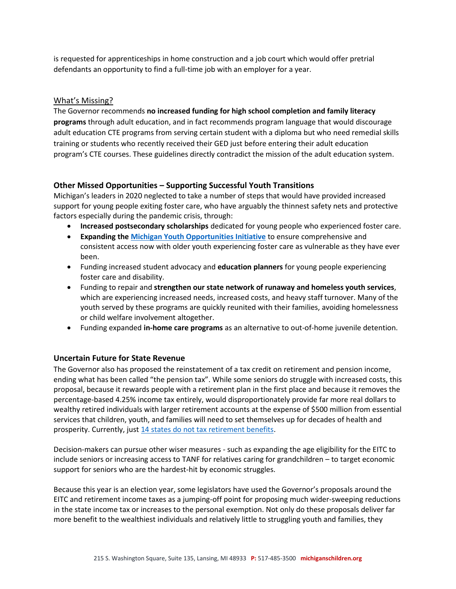is requested for apprenticeships in home construction and a job court which would offer pretrial defendants an opportunity to find a full-time job with an employer for a year.

# What's Missing?

The Governor recommends **no increased funding for high school completion and family literacy programs** through adult education, and in fact recommends program language that would discourage adult education CTE programs from serving certain student with a diploma but who need remedial skills training or students who recently received their GED just before entering their adult education program's CTE courses. These guidelines directly contradict the mission of the adult education system.

## **Other Missed Opportunities – Supporting Successful Youth Transitions**

Michigan's leaders in 2020 neglected to take a number of steps that would have provided increased support for young people exiting foster care, who have arguably the thinnest safety nets and protective factors especially during the pandemic crisis, through:

- **Increased postsecondary scholarships** dedicated for young people who experienced foster care.
- **Expanding th[e Michigan Youth Opportunities Initiative](https://www.michigan.gov/fyit/0,4585,7-240-44311-162619--,00.html)** to ensure comprehensive and consistent access now with older youth experiencing foster care as vulnerable as they have ever been.
- Funding increased student advocacy and **education planners** for young people experiencing foster care and disability.
- Funding to repair and **strengthen our state network of runaway and homeless youth services**, which are experiencing increased needs, increased costs, and heavy staff turnover. Many of the youth served by these programs are quickly reunited with their families, avoiding homelessness or child welfare involvement altogether.
- Funding expanded **in-home care programs** as an alternative to out-of-home juvenile detention.

#### **Uncertain Future for State Revenue**

The Governor also has proposed the reinstatement of a tax credit on retirement and pension income, ending what has been called "the pension tax". While some seniors do struggle with increased costs, this proposal, because it rewards people with a retirement plan in the first place and because it removes the percentage-based 4.25% income tax entirely, would disproportionately provide far more real dollars to wealthy retired individuals with larger retirement accounts at the expense of \$500 million from essential services that children, youth, and families will need to set themselves up for decades of health and prosperity. Currently, just [14 states do not tax retirement benefits.](https://rpea.org/resources/retirement-information/pension-tax-by-state/)

Decision-makers can pursue other wiser measures - such as expanding the age eligibility for the EITC to include seniors or increasing access to TANF for relatives caring for grandchildren – to target economic support for seniors who are the hardest-hit by economic struggles.

Because this year is an election year, some legislators have used the Governor's proposals around the EITC and retirement income taxes as a jumping-off point for proposing much wider-sweeping reductions in the state income tax or increases to the personal exemption. Not only do these proposals deliver far more benefit to the wealthiest individuals and relatively little to struggling youth and families, they